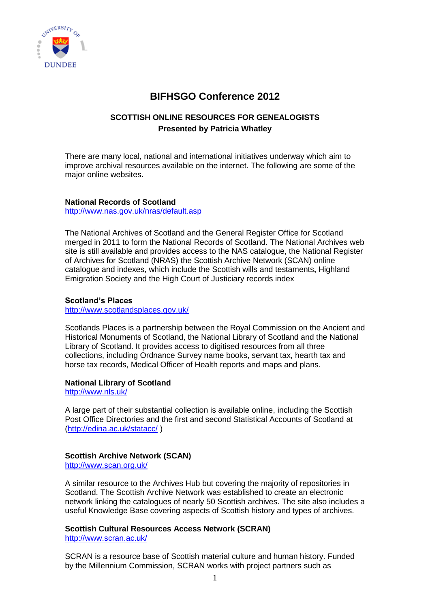

# **BIFHSGO Conference 2012**

## **SCOTTISH ONLINE RESOURCES FOR GENEALOGISTS Presented by Patricia Whatley**

There are many local, national and international initiatives underway which aim to improve archival resources available on the internet. The following are some of the major online websites.

#### **National Records of Scotland**  <http://www.nas.gov.uk/nras/default.asp>

The National Archives of Scotland and the General Register Office for Scotland merged in 2011 to form the National Records of Scotland. The National Archives web site is still available and provides access to the NAS catalogue, the National Register of Archives for Scotland (NRAS) the Scottish Archive Network (SCAN) online

Emigration Society and the High Court of Justiciary records index

catalogue and indexes, which include the Scottish wills and testaments**,** Highland

### **Scotland's Places**

<http://www.scotlandsplaces.gov.uk/>

Scotlands Places is a partnership between the Royal Commission on the Ancient and Historical Monuments of Scotland, the National Library of Scotland and the National Library of Scotland. It provides access to digitised resources from all three collections, including Ordnance Survey name books, servant tax, hearth tax and horse tax records, Medical Officer of Health reports and maps and plans.

### **National Library of Scotland**

<http://www.nls.uk/>

A large part of their substantial collection is available online, including the Scottish Post Office Directories and the first and second Statistical Accounts of Scotland at [\(http://edina.ac.uk/statacc/](http://edina.ac.uk/statacc/) )

### **[Scottish Archive Network](archon/searches/Detail.asp%3fID=9) (SCAN)**

<http://www.scan.org.uk/>

A similar resource to the Archives Hub but covering the majority of repositories in Scotland. The Scottish Archive Network was established to create an electronic network linking the catalogues of nearly 50 Scottish archives. The site also includes a useful Knowledge Base covering aspects of Scottish history and types of archives.

### **[Scottish Cultural Resources Access Network](archon/searches/Detail.asp%3fID=116) (SCRAN)**

<http://www.scran.ac.uk/>

SCRAN is a resource base of Scottish material culture and human history. Funded by the Millennium Commission, SCRAN works with project partners such as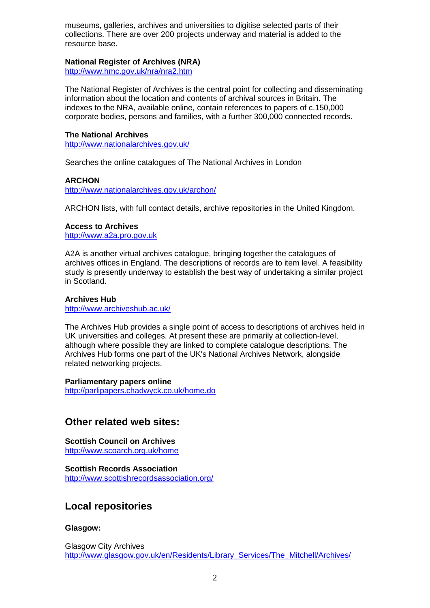museums, galleries, archives and universities to digitise selected parts of their collections. There are over 200 projects underway and material is added to the resource base.

## **National Register of Archives (NRA)**

<http://www.hmc.gov.uk/nra/nra2.htm>

The National Register of Archives is the central point for collecting and disseminating information about the location and contents of archival sources in Britain. The indexes to the NRA, available online, contain references to papers of c.150,000 corporate bodies, persons and families, with a further 300,000 connected records.

### **The National Archives**

<http://www.nationalarchives.gov.uk/>

Searches the online catalogues of The National Archives in London

### **ARCHON**

<http://www.nationalarchives.gov.uk/archon/>

ARCHON lists, with full contact details, archive repositories in the United Kingdom.

### **Access to Archives**

[http://www.a2a.pro.gov.uk](http://www.a2a.pro.gov.uk/)

A2A is another virtual archives catalogue, bringing together the catalogues of archives offices in England. The descriptions of records are to item level. A feasibility study is presently underway to establish the best way of undertaking a similar project in Scotland.

### **Archives Hub**

<http://www.archiveshub.ac.uk/>

The Archives Hub provides a single point of access to descriptions of archives held in UK universities and colleges. At present these are primarily at collection-level, although where possible they are linked to complete catalogue descriptions. The Archives Hub forms one part of the UK's National Archives Network, alongside related networking projects.

### **Parliamentary papers online**

<http://parlipapers.chadwyck.co.uk/home.do>

## **Other related web sites:**

**Scottish Council on Archives** <http://www.scoarch.org.uk/home>

**Scottish Records Association** <http://www.scottishrecordsassociation.org/>

# **Local repositories**

### **Glasgow:**

Glasgow City Archives [http://www.glasgow.gov.uk/en/Residents/Library\\_Services/The\\_Mitchell/Archives/](http://www.glasgow.gov.uk/en/Residents/Library_Services/The_Mitchell/Archives/)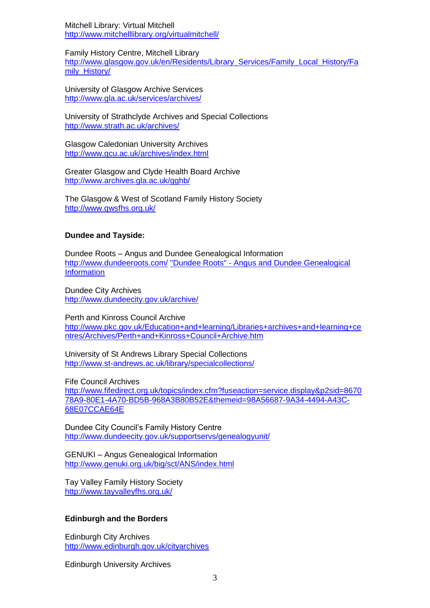Mitchell Library: Virtual Mitchell <http://www.mitchelllibrary.org/virtualmitchell/>

Family History Centre, Mitchell Library [http://www.glasgow.gov.uk/en/Residents/Library\\_Services/Family\\_Local\\_History/Fa](http://www.glasgow.gov.uk/en/Residents/Library_Services/Family_Local_History/Family_History/) [mily\\_History/](http://www.glasgow.gov.uk/en/Residents/Library_Services/Family_Local_History/Family_History/)

University of Glasgow Archive Services <http://www.gla.ac.uk/services/archives/>

University of Strathclyde Archives and Special Collections <http://www.strath.ac.uk/archives/>

Glasgow Caledonian University Archives <http://www.gcu.ac.uk/archives/index.html>

Greater Glasgow and Clyde Health Board Archive <http://www.archives.gla.ac.uk/gghb/>

The Glasgow & West of Scotland Family History Society <http://www.gwsfhs.org.uk/>

### **Dundee and Tayside:**

Dundee Roots – Angus and Dundee Genealogical Information <http://www.dundeeroots.com/> "Dundee Roots" - [Angus and Dundee Genealogical](http://www.dundeeroots.com/)  **[Information](http://www.dundeeroots.com/)** 

Dundee City Archives <http://www.dundeecity.gov.uk/archive/>

Perth and Kinross Council Archive [http://www.pkc.gov.uk/Education+and+learning/Libraries+archives+and+learning+ce](http://www.pkc.gov.uk/Education+and+learning/Libraries+archives+and+learning+centres/Archives/Perth+and+Kinross+Council+Archive.htm) [ntres/Archives/Perth+and+Kinross+Council+Archive.htm](http://www.pkc.gov.uk/Education+and+learning/Libraries+archives+and+learning+centres/Archives/Perth+and+Kinross+Council+Archive.htm)

University of St Andrews Library Special Collections <http://www.st-andrews.ac.uk/library/specialcollections/>

Fife Council Archives [http://www.fifedirect.org.uk/topics/index.cfm?fuseaction=service.display&p2sid=8670](http://www.fifedirect.org.uk/topics/index.cfm?fuseaction=service.display&p2sid=867078A9-80E1-4A70-BD5B-968A3B80B52E&themeid=98A56687-9A34-4494-A43C-68E07CCAE64E) [78A9-80E1-4A70-BD5B-968A3B80B52E&themeid=98A56687-9A34-4494-A43C-](http://www.fifedirect.org.uk/topics/index.cfm?fuseaction=service.display&p2sid=867078A9-80E1-4A70-BD5B-968A3B80B52E&themeid=98A56687-9A34-4494-A43C-68E07CCAE64E)[68E07CCAE64E](http://www.fifedirect.org.uk/topics/index.cfm?fuseaction=service.display&p2sid=867078A9-80E1-4A70-BD5B-968A3B80B52E&themeid=98A56687-9A34-4494-A43C-68E07CCAE64E)

Dundee City Council's Family History Centre <http://www.dundeecity.gov.uk/supportservs/genealogyunit/>

GENUKI – Angus Genealogical Information <http://www.genuki.org.uk/big/sct/ANS/index.html>

Tay Valley Family History Society <http://www.tayvalleyfhs.org.uk/>

### **Edinburgh and the Borders**

Edinburgh City Archives <http://www.edinburgh.gov.uk/cityarchives>

Edinburgh University Archives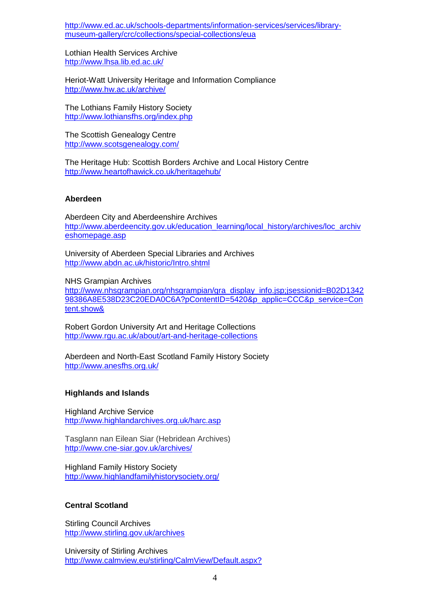[http://www.ed.ac.uk/schools-departments/information-services/services/library](http://www.ed.ac.uk/schools-departments/information-services/services/library-museum-gallery/crc/collections/special-collections/eua)[museum-gallery/crc/collections/special-collections/eua](http://www.ed.ac.uk/schools-departments/information-services/services/library-museum-gallery/crc/collections/special-collections/eua)

Lothian Health Services Archive <http://www.lhsa.lib.ed.ac.uk/>

Heriot-Watt University Heritage and Information Compliance <http://www.hw.ac.uk/archive/>

The Lothians Family History Society <http://www.lothiansfhs.org/index.php>

The Scottish Genealogy Centre <http://www.scotsgenealogy.com/>

The Heritage Hub: Scottish Borders Archive and Local History Centre <http://www.heartofhawick.co.uk/heritagehub/>

#### **Aberdeen**

Aberdeen City and Aberdeenshire Archives [http://www.aberdeencity.gov.uk/education\\_learning/local\\_history/archives/loc\\_archiv](http://www.aberdeencity.gov.uk/education_learning/local_history/archives/loc_archiveshomepage.asp) [eshomepage.asp](http://www.aberdeencity.gov.uk/education_learning/local_history/archives/loc_archiveshomepage.asp)

University of Aberdeen Special Libraries and Archives <http://www.abdn.ac.uk/historic/Intro.shtml>

NHS Grampian Archives

[http://www.nhsgrampian.org/nhsgrampian/gra\\_display\\_info.jsp;jsessionid=B02D1342](http://www.nhsgrampian.org/nhsgrampian/gra_display_info.jsp;jsessionid=B02D134298386A8E538D23C20EDA0C6A?pContentID=5420&p_applic=CCC&p_service=Content.show&) [98386A8E538D23C20EDA0C6A?pContentID=5420&p\\_applic=CCC&p\\_service=Con](http://www.nhsgrampian.org/nhsgrampian/gra_display_info.jsp;jsessionid=B02D134298386A8E538D23C20EDA0C6A?pContentID=5420&p_applic=CCC&p_service=Content.show&) [tent.show&](http://www.nhsgrampian.org/nhsgrampian/gra_display_info.jsp;jsessionid=B02D134298386A8E538D23C20EDA0C6A?pContentID=5420&p_applic=CCC&p_service=Content.show&)

Robert Gordon University Art and Heritage Collections <http://www.rgu.ac.uk/about/art-and-heritage-collections>

Aberdeen and North-East Scotland Family History Society <http://www.anesfhs.org.uk/>

#### **Highlands and Islands**

Highland Archive Service <http://www.highlandarchives.org.uk/harc.asp>

Tasglann nan Eilean Siar (Hebridean Archives) <http://www.cne-siar.gov.uk/archives/>

Highland Family History Society <http://www.highlandfamilyhistorysociety.org/>

### **Central Scotland**

Stirling Council Archives <http://www.stirling.gov.uk/archives>

University of Stirling Archives <http://www.calmview.eu/stirling/CalmView/Default.aspx?>